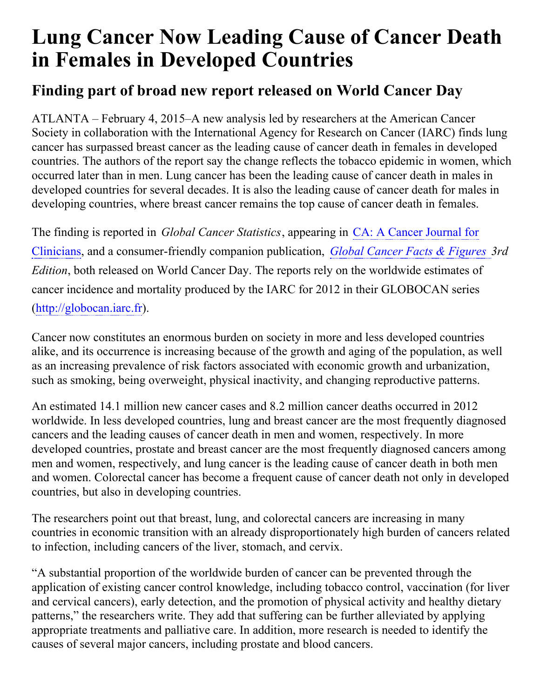## **Lung Cancer Now Leading Cause of Cancer Death in Females in Developed Countries**

## **Finding part of broad new report released on World Cancer Day**

ATLANTA – February 4, 2015–A new analysis led by researchers at the American Cancer Society in collaboration with the International Agency for Research on Cancer (IARC) finds lung cancer has surpassed breast cancer as the leading cause of cancer death in females in developed countries. The authors of the report say the change reflects the tobacco epidemic in women, which occurred later than in men. Lung cancer has been the leading cause of cancer death in males in developed countries for several decades. It is also the leading cause of cancer death for males in developing countries, where breast cancer remains the top cause of cancer death in females.

The finding is reported in *Global Cancer Statistics*, appearing in CA: A Cancer Journal for Clinicians, and a [consumer-friendly](http://onlinelibrary.wiley.com/journal/10.3322/(ISSN)1542-4863) companion publication, *Global Cancer Facts & [Figures](http://www.cancer.org/research/cancerfactsstatistics/global) 3rd Edition*, both released on World Cancer Day. The reports rely on the worldwide estimates of cancer incidence and mortality produced by the IARC for 2012 in their GLOBOCAN series [\(http://globocan.iarc.fr](http://globocan.iarc.fr)).

Cancer now constitutes an enormous burden on society in more and less developed countries alike, and its occurrence is increasing because of the growth and aging of the population, as well as an increasing prevalence of risk factors associated with economic growth and urbanization, such as smoking, being overweight, physical inactivity, and changing reproductive patterns.

An estimated 14.1 million new cancer cases and 8.2 million cancer deaths occurred in 2012 worldwide. In less developed countries, lung and breast cancer are the most frequently diagnosed cancers and the leading causes of cancer death in men and women, respectively. In more developed countries, prostate and breast cancer are the most frequently diagnosed cancers among men and women, respectively, and lung cancer is the leading cause of cancer death in both men and women. Colorectal cancer has become a frequent cause of cancer death not only in developed countries, but also in developing countries.

The researchers point out that breast, lung, and colorectal cancers are increasing in many countries in economic transition with an already disproportionately high burden of cancers related to infection, including cancers of the liver, stomach, and cervix.

"A substantial proportion of the worldwide burden of cancer can be prevented through the application of existing cancer control knowledge, including tobacco control, vaccination (for liver and cervical cancers), early detection, and the promotion of physical activity and healthy dietary patterns," the researchers write. They add that suffering can be further alleviated by applying appropriate treatments and palliative care. In addition, more research is needed to identify the causes of several major cancers, including prostate and blood cancers.